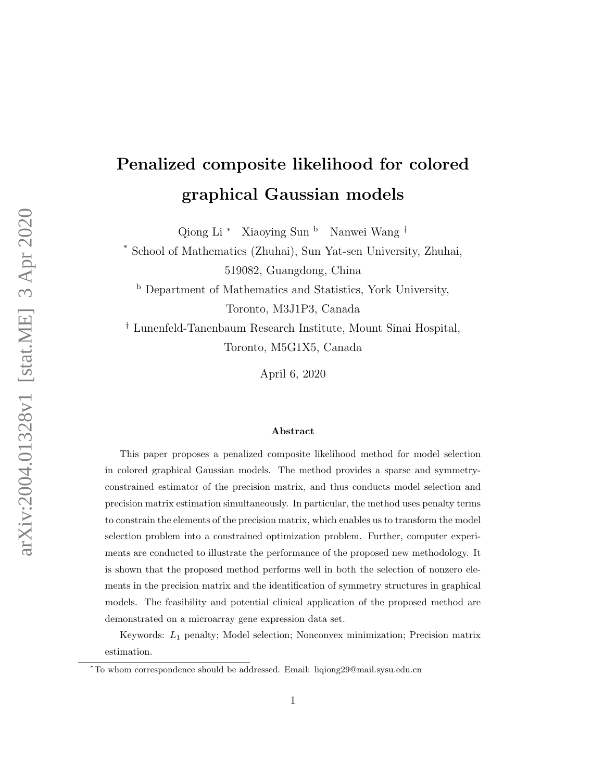# Penalized composite likelihood for colored graphical Gaussian models

Qiong Li <sup>\*</sup> Xiaoying Sun <sup>b</sup> Nanwei Wang <sup>†</sup>

School of Mathematics (Zhuhai), Sun Yat-sen University, Zhuhai, 519082, Guangdong, China

<sup>b</sup> Department of Mathematics and Statistics, York University, Toronto, M3J1P3, Canada

† Lunenfeld-Tanenbaum Research Institute, Mount Sinai Hospital, Toronto, M5G1X5, Canada

April 6, 2020

#### Abstract

This paper proposes a penalized composite likelihood method for model selection in colored graphical Gaussian models. The method provides a sparse and symmetryconstrained estimator of the precision matrix, and thus conducts model selection and precision matrix estimation simultaneously. In particular, the method uses penalty terms to constrain the elements of the precision matrix, which enables us to transform the model selection problem into a constrained optimization problem. Further, computer experiments are conducted to illustrate the performance of the proposed new methodology. It is shown that the proposed method performs well in both the selection of nonzero elements in the precision matrix and the identification of symmetry structures in graphical models. The feasibility and potential clinical application of the proposed method are demonstrated on a microarray gene expression data set.

Keywords: L<sup>1</sup> penalty; Model selection; Nonconvex minimization; Precision matrix estimation.

<sup>∗</sup>To whom correspondence should be addressed. Email: liqiong29@mail.sysu.edu.cn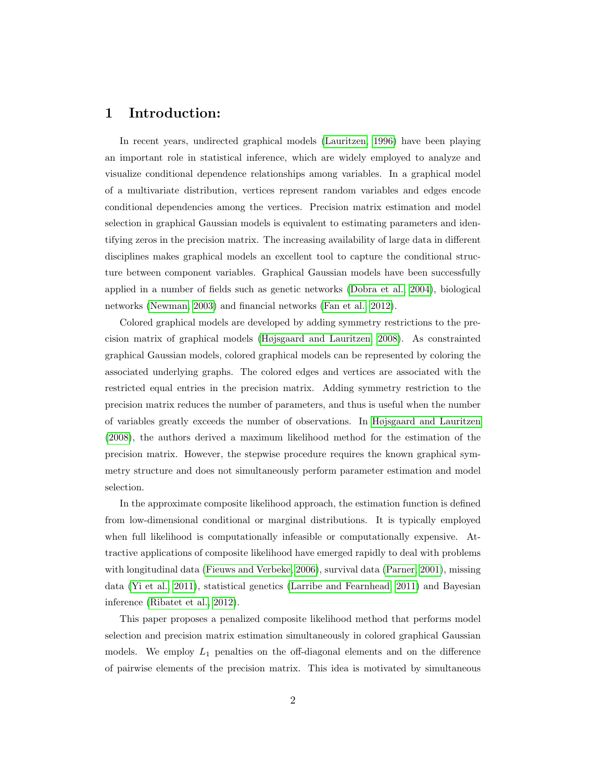# 1 Introduction:

In recent years, undirected graphical models [\(Lauritzen, 1996\)](#page-18-0) have been playing an important role in statistical inference, which are widely employed to analyze and visualize conditional dependence relationships among variables. In a graphical model of a multivariate distribution, vertices represent random variables and edges encode conditional dependencies among the vertices. Precision matrix estimation and model selection in graphical Gaussian models is equivalent to estimating parameters and identifying zeros in the precision matrix. The increasing availability of large data in different disciplines makes graphical models an excellent tool to capture the conditional structure between component variables. Graphical Gaussian models have been successfully applied in a number of fields such as genetic networks [\(Dobra et al., 2004\)](#page-17-0), biological networks [\(Newman, 2003\)](#page-18-1) and financial networks [\(Fan et al., 2012\)](#page-17-1).

Colored graphical models are developed by adding symmetry restrictions to the precision matrix of graphical models [\(Højsgaard and Lauritzen, 2008\)](#page-18-2). As constrainted graphical Gaussian models, colored graphical models can be represented by coloring the associated underlying graphs. The colored edges and vertices are associated with the restricted equal entries in the precision matrix. Adding symmetry restriction to the precision matrix reduces the number of parameters, and thus is useful when the number of variables greatly exceeds the number of observations. In [Højsgaard and Lauritzen](#page-18-2) [\(2008\)](#page-18-2), the authors derived a maximum likelihood method for the estimation of the precision matrix. However, the stepwise procedure requires the known graphical symmetry structure and does not simultaneously perform parameter estimation and model selection.

In the approximate composite likelihood approach, the estimation function is defined from low-dimensional conditional or marginal distributions. It is typically employed when full likelihood is computationally infeasible or computationally expensive. Attractive applications of composite likelihood have emerged rapidly to deal with problems with longitudinal data [\(Fieuws and Verbeke, 2006\)](#page-17-2), survival data [\(Parner, 2001\)](#page-19-0), missing data [\(Yi et al., 2011\)](#page-19-1), statistical genetics [\(Larribe and Fearnhead, 2011\)](#page-18-3) and Bayesian inference [\(Ribatet et al., 2012\)](#page-19-2).

This paper proposes a penalized composite likelihood method that performs model selection and precision matrix estimation simultaneously in colored graphical Gaussian models. We employ  $L_1$  penalties on the off-diagonal elements and on the difference of pairwise elements of the precision matrix. This idea is motivated by simultaneous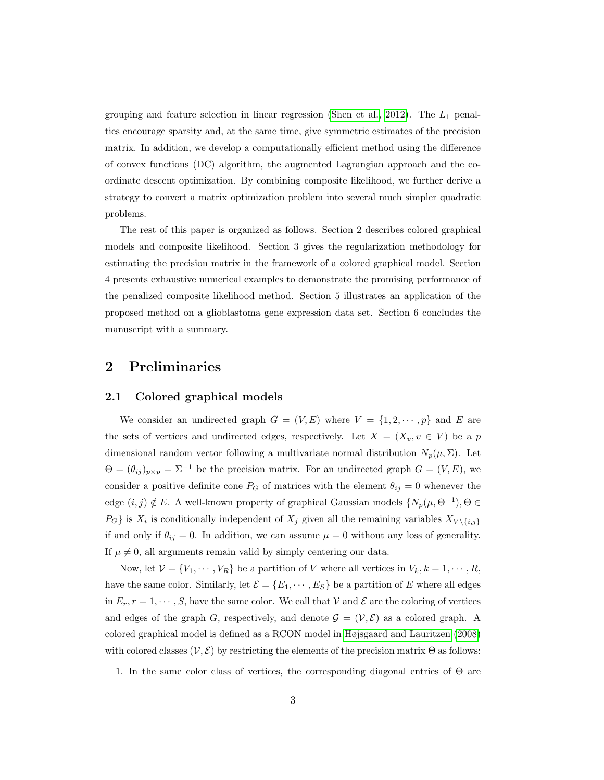grouping and feature selection in linear regression [\(Shen et al., 2012\)](#page-19-3). The  $L_1$  penalties encourage sparsity and, at the same time, give symmetric estimates of the precision matrix. In addition, we develop a computationally efficient method using the difference of convex functions (DC) algorithm, the augmented Lagrangian approach and the coordinate descent optimization. By combining composite likelihood, we further derive a strategy to convert a matrix optimization problem into several much simpler quadratic problems.

The rest of this paper is organized as follows. Section 2 describes colored graphical models and composite likelihood. Section 3 gives the regularization methodology for estimating the precision matrix in the framework of a colored graphical model. Section 4 presents exhaustive numerical examples to demonstrate the promising performance of the penalized composite likelihood method. Section 5 illustrates an application of the proposed method on a glioblastoma gene expression data set. Section 6 concludes the manuscript with a summary.

# 2 Preliminaries

#### 2.1 Colored graphical models

We consider an undirected graph  $G = (V, E)$  where  $V = \{1, 2, \dots, p\}$  and E are the sets of vertices and undirected edges, respectively. Let  $X = (X_v, v \in V)$  be a p dimensional random vector following a multivariate normal distribution  $N_p(\mu, \Sigma)$ . Let  $\Theta = (\theta_{ij})_{p \times p} = \Sigma^{-1}$  be the precision matrix. For an undirected graph  $G = (V, E)$ , we consider a positive definite cone  $P_G$  of matrices with the element  $\theta_{ij} = 0$  whenever the edge  $(i, j) \notin E$ . A well-known property of graphical Gaussian models  $\{N_p(\mu, \Theta^{-1}), \Theta \in$  $P_G$  is  $X_i$  is conditionally independent of  $X_j$  given all the remaining variables  $X_{V \setminus \{i,j\}}$ if and only if  $\theta_{ij} = 0$ . In addition, we can assume  $\mu = 0$  without any loss of generality. If  $\mu \neq 0$ , all arguments remain valid by simply centering our data.

Now, let  $V = \{V_1, \dots, V_R\}$  be a partition of V where all vertices in  $V_k, k = 1, \dots, R$ , have the same color. Similarly, let  $\mathcal{E} = \{E_1, \dots, E_S\}$  be a partition of E where all edges in  $E_r$ ,  $r = 1, \dots, S$ , have the same color. We call that V and E are the coloring of vertices and edges of the graph G, respectively, and denote  $\mathcal{G} = (\mathcal{V}, \mathcal{E})$  as a colored graph. A colored graphical model is defined as a RCON model in [Højsgaard and Lauritzen](#page-18-2) [\(2008\)](#page-18-2) with colored classes  $(\mathcal{V}, \mathcal{E})$  by restricting the elements of the precision matrix  $\Theta$  as follows:

1. In the same color class of vertices, the corresponding diagonal entries of Θ are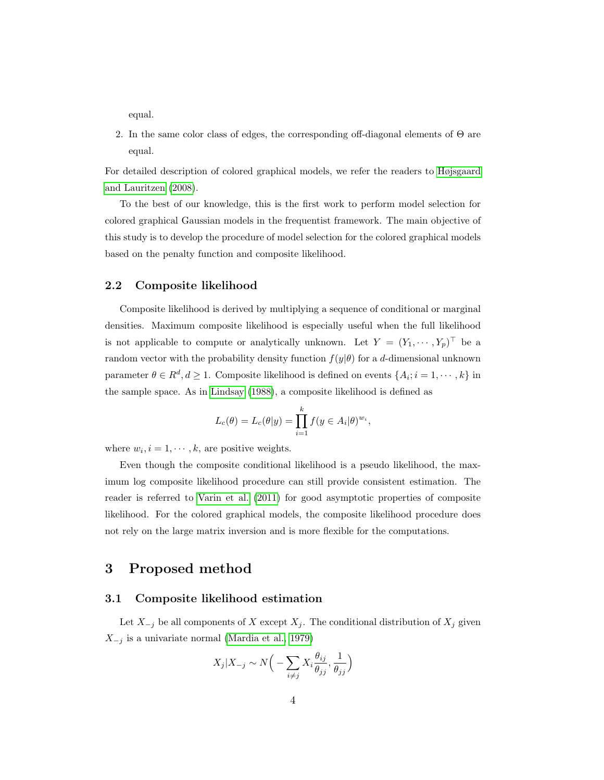equal.

2. In the same color class of edges, the corresponding off-diagonal elements of Θ are equal.

For detailed description of colored graphical models, we refer the readers to [Højsgaard](#page-18-2) [and Lauritzen](#page-18-2) [\(2008\)](#page-18-2).

To the best of our knowledge, this is the first work to perform model selection for colored graphical Gaussian models in the frequentist framework. The main objective of this study is to develop the procedure of model selection for the colored graphical models based on the penalty function and composite likelihood.

#### 2.2 Composite likelihood

Composite likelihood is derived by multiplying a sequence of conditional or marginal densities. Maximum composite likelihood is especially useful when the full likelihood is not applicable to compute or analytically unknown. Let  $Y = (Y_1, \dots, Y_p)^\top$  be a random vector with the probability density function  $f(y|\theta)$  for a d-dimensional unknown parameter  $\theta \in \mathbb{R}^d, d \geq 1$ . Composite likelihood is defined on events  $\{A_i; i = 1, \dots, k\}$  in the sample space. As in [Lindsay](#page-18-4) [\(1988\)](#page-18-4), a composite likelihood is defined as

$$
L_c(\theta) = L_c(\theta|y) = \prod_{i=1}^k f(y \in A_i|\theta)^{w_i},
$$

where  $w_i$ ,  $i = 1, \dots, k$ , are positive weights.

Even though the composite conditional likelihood is a pseudo likelihood, the maximum log composite likelihood procedure can still provide consistent estimation. The reader is referred to [Varin et al.](#page-19-4) [\(2011\)](#page-19-4) for good asymptotic properties of composite likelihood. For the colored graphical models, the composite likelihood procedure does not rely on the large matrix inversion and is more flexible for the computations.

# 3 Proposed method

#### 3.1 Composite likelihood estimation

Let  $X_{-j}$  be all components of X except  $X_j$ . The conditional distribution of  $X_j$  given  $X_{-j}$  is a univariate normal [\(Mardia et al., 1979\)](#page-18-5)

$$
X_j | X_{-j} \sim N\Big(-\sum_{i \neq j} X_i \frac{\theta_{ij}}{\theta_{jj}}, \frac{1}{\theta_{jj}}\Big)
$$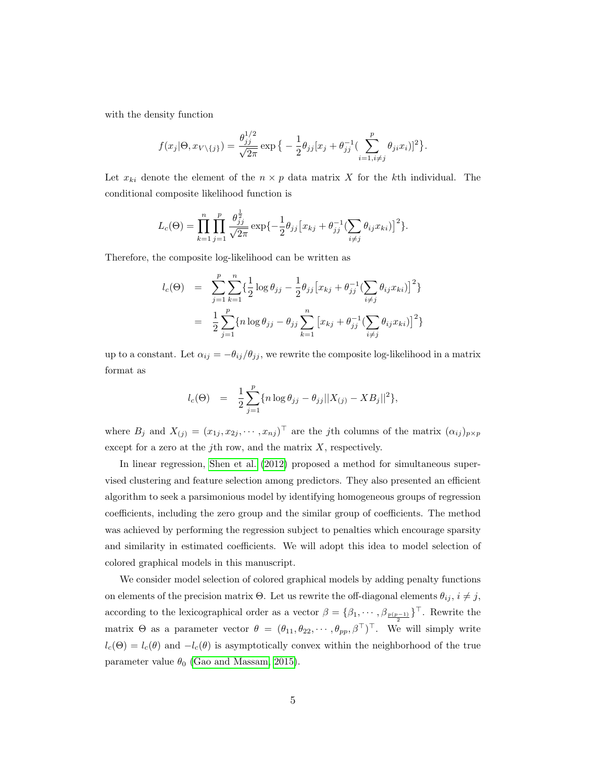with the density function

$$
f(x_j|\Theta, x_{V\setminus\{j\}}) = \frac{\theta_{jj}^{1/2}}{\sqrt{2\pi}} \exp\big\{-\frac{1}{2}\theta_{jj}[x_j + \theta_{jj}^{-1}(\sum_{i=1, i\neq j}^p \theta_{ji}x_i)]^2\big\}.
$$

Let  $x_{ki}$  denote the element of the  $n \times p$  data matrix X for the kth individual. The conditional composite likelihood function is

$$
L_c(\Theta) = \prod_{k=1}^n \prod_{j=1}^p \frac{\theta_{jj}^{\frac{1}{2}}}{\sqrt{2\pi}} \exp\{-\frac{1}{2}\theta_{jj} \left[x_{kj} + \theta_{jj}^{-1} (\sum_{i \neq j} \theta_{ij} x_{ki})\right]^2\}.
$$

Therefore, the composite log-likelihood can be written as

$$
l_c(\Theta) = \sum_{j=1}^p \sum_{k=1}^n \{ \frac{1}{2} \log \theta_{jj} - \frac{1}{2} \theta_{jj} \left[ x_{kj} + \theta_{jj}^{-1} (\sum_{i \neq j} \theta_{ij} x_{ki}) \right]^2 \}
$$
  

$$
= \frac{1}{2} \sum_{j=1}^p \{ n \log \theta_{jj} - \theta_{jj} \sum_{k=1}^n \left[ x_{kj} + \theta_{jj}^{-1} (\sum_{i \neq j} \theta_{ij} x_{ki}) \right]^2 \}
$$

up to a constant. Let  $\alpha_{ij} = -\theta_{ij}/\theta_{jj}$ , we rewrite the composite log-likelihood in a matrix format as

$$
l_c(\Theta) = \frac{1}{2} \sum_{j=1}^p \{ n \log \theta_{jj} - \theta_{jj} ||X_{(j)} - XB_j||^2 \},\
$$

where  $B_j$  and  $X_{(j)} = (x_{1j}, x_{2j}, \dots, x_{nj})^\top$  are the jth columns of the matrix  $(\alpha_{ij})_{p \times p}$ except for a zero at the j<sup>th</sup> row, and the matrix  $X$ , respectively.

In linear regression, [Shen et al.](#page-19-3) [\(2012\)](#page-19-3) proposed a method for simultaneous supervised clustering and feature selection among predictors. They also presented an efficient algorithm to seek a parsimonious model by identifying homogeneous groups of regression coefficients, including the zero group and the similar group of coefficients. The method was achieved by performing the regression subject to penalties which encourage sparsity and similarity in estimated coefficients. We will adopt this idea to model selection of colored graphical models in this manuscript.

We consider model selection of colored graphical models by adding penalty functions on elements of the precision matrix  $\Theta$ . Let us rewrite the off-diagonal elements  $\theta_{ij}$ ,  $i \neq j$ , according to the lexicographical order as a vector  $\beta = {\beta_1, \cdots, \beta_{p(p-1)}}^T$ . Rewrite the matrix  $\Theta$  as a parameter vector  $\theta = (\theta_{11}, \theta_{22}, \cdots, \theta_{pp}, \beta^{\top})^{\top}$ . We will simply write  $l_c(\Theta) = l_c(\theta)$  and  $-l_c(\theta)$  is asymptotically convex within the neighborhood of the true parameter value  $\theta_0$  [\(Gao and Massam, 2015\)](#page-18-6).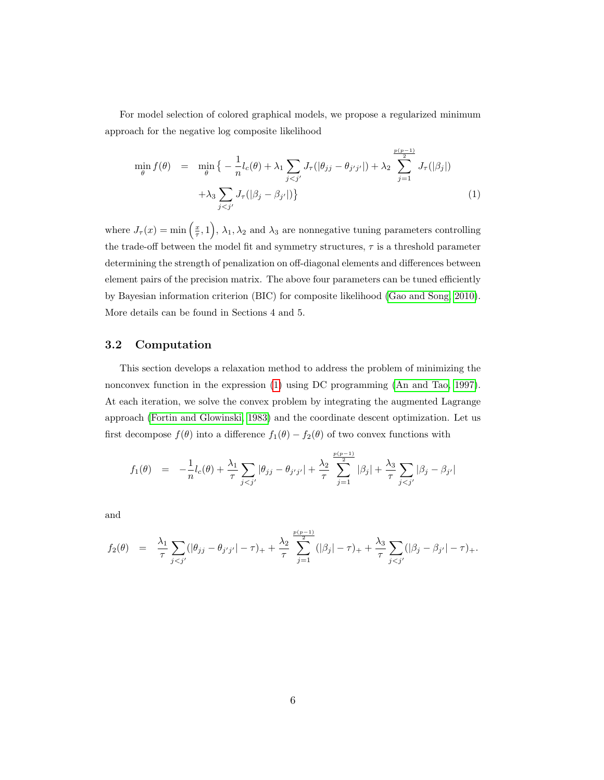For model selection of colored graphical models, we propose a regularized minimum approach for the negative log composite likelihood

<span id="page-5-0"></span>
$$
\min_{\theta} f(\theta) = \min_{\theta} \left\{ -\frac{1}{n} l_c(\theta) + \lambda_1 \sum_{j < j'} J_{\tau}(|\theta_{jj} - \theta_{j'j'}|) + \lambda_2 \sum_{j=1}^{\frac{p(p-1)}{2}} J_{\tau}(|\beta_j|) + \lambda_3 \sum_{j < j'} J_{\tau}(|\beta_j - \beta_{j'}|) \right\} \tag{1}
$$

where  $J_{\tau}(x) = \min\left(\frac{x}{\tau}, 1\right)$ ,  $\lambda_1, \lambda_2$  and  $\lambda_3$  are nonnegative tuning parameters controlling the trade-off between the model fit and symmetry structures,  $\tau$  is a threshold parameter determining the strength of penalization on off-diagonal elements and differences between element pairs of the precision matrix. The above four parameters can be tuned efficiently by Bayesian information criterion (BIC) for composite likelihood [\(Gao and Song, 2010\)](#page-18-7). More details can be found in Sections 4 and 5.

#### 3.2 Computation

This section develops a relaxation method to address the problem of minimizing the nonconvex function in the expression [\(1\)](#page-5-0) using DC programming [\(An and Tao, 1997\)](#page-17-3). At each iteration, we solve the convex problem by integrating the augmented Lagrange approach [\(Fortin and Glowinski, 1983\)](#page-17-4) and the coordinate descent optimization. Let us first decompose  $f(\theta)$  into a difference  $f_1(\theta) - f_2(\theta)$  of two convex functions with

$$
f_1(\theta) = -\frac{1}{n}l_c(\theta) + \frac{\lambda_1}{\tau} \sum_{j < j'} |\theta_{jj} - \theta_{j'j'}| + \frac{\lambda_2}{\tau} \sum_{j=1}^{\frac{p(p-1)}{2}} |\beta_j| + \frac{\lambda_3}{\tau} \sum_{j < j'} |\beta_j - \beta_{j'}|
$$

and

$$
f_2(\theta) = \frac{\lambda_1}{\tau} \sum_{j < j'} (|\theta_{jj} - \theta_{j'j'}| - \tau)_+ + \frac{\lambda_2}{\tau} \sum_{j=1}^{\frac{p(p-1)}{2}} (|\beta_j| - \tau)_+ + \frac{\lambda_3}{\tau} \sum_{j < j'} (|\beta_j - \beta_{j'}| - \tau)_+.
$$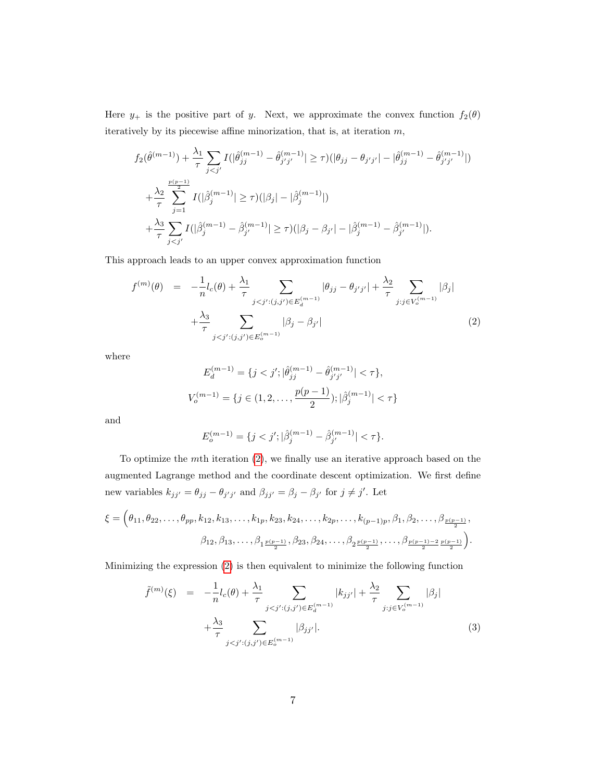Here  $y_+$  is the positive part of y. Next, we approximate the convex function  $f_2(\theta)$ iteratively by its piecewise affine minorization, that is, at iteration  $m$ ,

$$
f_2(\hat{\theta}^{(m-1)}) + \frac{\lambda_1}{\tau} \sum_{j < j'} I(|\hat{\theta}_{jj}^{(m-1)} - \hat{\theta}_{j'j'}^{(m-1)}| \ge \tau)(|\theta_{jj} - \theta_{j'j'}| - |\hat{\theta}_{jj}^{(m-1)} - \hat{\theta}_{j'j'}^{(m-1)}|)
$$
\n
$$
+ \frac{\lambda_2}{\tau} \sum_{j=1}^{\frac{p(p-1)}{2}} I(|\hat{\beta}_j^{(m-1)}| \ge \tau)(|\beta_j| - |\hat{\beta}_j^{(m-1)}|)
$$
\n
$$
+ \frac{\lambda_3}{\tau} \sum_{j < j'} I(|\hat{\beta}_j^{(m-1)} - \hat{\beta}_{j'}^{(m-1)}| \ge \tau)(|\beta_j - \beta_{j'}| - |\hat{\beta}_j^{(m-1)} - \hat{\beta}_{j'}^{(m-1)}|).
$$

This approach leads to an upper convex approximation function

<span id="page-6-0"></span>
$$
f^{(m)}(\theta) = -\frac{1}{n}l_c(\theta) + \frac{\lambda_1}{\tau} \sum_{j < j': (j, j') \in E_d^{(m-1)}} |\theta_{jj} - \theta_{j'j'}| + \frac{\lambda_2}{\tau} \sum_{j: j \in V_o^{(m-1)}} |\beta_j| + \frac{\lambda_3}{\tau} \sum_{j < j': (j, j') \in E_o^{(m-1)}} |\beta_j - \beta_{j'}| \tag{2}
$$

where

$$
E_d^{(m-1)} = \{j < j'; |\hat{\theta}_{jj}^{(m-1)} - \hat{\theta}_{j'j'}^{(m-1)}| < \tau\},
$$
\n
$$
V_o^{(m-1)} = \{j \in (1, 2, \dots, \frac{p(p-1)}{2}); |\hat{\beta}_j^{(m-1)}| < \tau\}
$$

and

$$
E_o^{(m-1)} = \{ j < j'; |\hat{\beta}_j^{(m-1)} - \hat{\beta}_{j'}^{(m-1)}| < \tau \}.
$$

To optimize the mth iteration [\(2\)](#page-6-0), we finally use an iterative approach based on the augmented Lagrange method and the coordinate descent optimization. We first define new variables  $k_{jj'} = \theta_{jj} - \theta_{j'j'}$  and  $\beta_{jj'} = \beta_j - \beta_{j'}$  for  $j \neq j'$ . Let

$$
\xi = \left(\theta_{11}, \theta_{22}, \dots, \theta_{pp}, k_{12}, k_{13}, \dots, k_{1p}, k_{23}, k_{24}, \dots, k_{2p}, \dots, k_{(p-1)p}, \beta_1, \beta_2, \dots, \beta_{\frac{p(p-1)}{2}}, \beta_{12}, \beta_{13}, \dots, \beta_{1\frac{p(p-1)}{2}}, \beta_{23}, \beta_{24}, \dots, \beta_{2\frac{p(p-1)}{2}}, \dots, \beta_{\frac{p(p-1)-2}{2}\frac{p(p-1)}{2}}\right).
$$

Minimizing the expression [\(2\)](#page-6-0) is then equivalent to minimize the following function

<span id="page-6-1"></span>
$$
\tilde{f}^{(m)}(\xi) = -\frac{1}{n}l_c(\theta) + \frac{\lambda_1}{\tau} \sum_{j < j': (j, j') \in E_d^{(m-1)}} |k_{jj'}| + \frac{\lambda_2}{\tau} \sum_{j : j \in V_o^{(m-1)}} |\beta_j| + \frac{\lambda_3}{\tau} \sum_{j < j': (j, j') \in E_o^{(m-1)}} |\beta_{jj'}|.
$$
\n
$$
(3)
$$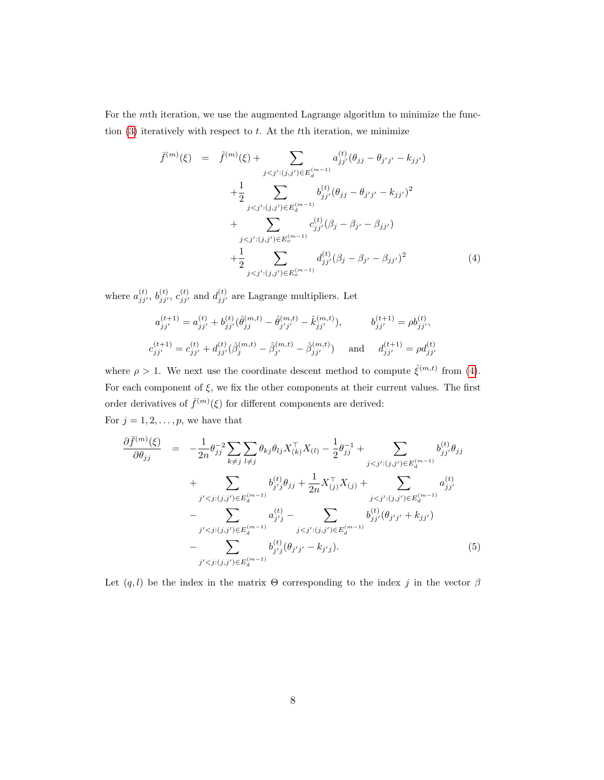For the mth iteration, we use the augmented Lagrange algorithm to minimize the function  $(3)$  iteratively with respect to t. At the tth iteration, we minimize

<span id="page-7-0"></span>
$$
\bar{f}^{(m)}(\xi) = \tilde{f}^{(m)}(\xi) + \sum_{j < j':(j,j') \in E_d^{(m-1)}} a_{jj'}^{(t)}(\theta_{jj} - \theta_{j'j'} - k_{jj'})
$$
\n
$$
+ \frac{1}{2} \sum_{j < j':(j,j') \in E_d^{(m-1)}} b_{jj'}^{(t)}(\theta_{jj} - \theta_{j'j'} - k_{jj'})^2
$$
\n
$$
+ \sum_{j < j':(j,j') \in E_o^{(m-1)}} c_{jj'}^{(t)}(\beta_j - \beta_{j'} - \beta_{jj'})
$$
\n
$$
+ \frac{1}{2} \sum_{j < j':(j,j') \in E_o^{(m-1)}} d_{jj'}^{(t)}(\beta_j - \beta_{j'} - \beta_{jj'})^2 \tag{4}
$$

where  $a_{jj'}^{(t)}$ ,  $b_{jj'}^{(t)}$ ,  $c_{jj'}^{(t)}$  and  $d_{jj'}^{(t)}$  are Lagrange multipliers. Let

$$
a_{jj'}^{(t+1)} = a_{jj'}^{(t)} + b_{jj'}^{(t)} (\hat{\theta}_{jj}^{(m,t)} - \hat{\theta}_{j'j'}^{(m,t)} - \hat{k}_{jj'}^{(m,t)}), \qquad b_{jj'}^{(t+1)} = \rho b_{jj'}^{(t)},
$$
  

$$
c_{jj'}^{(t+1)} = c_{jj'}^{(t)} + d_{jj'}^{(t)} (\hat{\beta}_j^{(m,t)} - \hat{\beta}_{j'}^{(m,t)} - \hat{\beta}_{jj'}^{(m,t)}) \quad \text{and} \quad d_{jj'}^{(t+1)} = \rho d_{jj'}^{(t)}
$$

where  $\rho > 1$ . We next use the coordinate descent method to compute  $\hat{\xi}^{(m,t)}$  from [\(4\)](#page-7-0). For each component of  $\xi$ , we fix the other components at their current values. The first order derivatives of  $\bar{f}^{(m)}(\xi)$  for different components are derived: For  $j = 1, 2, \ldots, p$ , we have that

<span id="page-7-1"></span>
$$
\frac{\partial \bar{f}^{(m)}(\xi)}{\partial \theta_{jj}} = -\frac{1}{2n} \theta_{jj}^{-2} \sum_{k \neq j} \sum_{l \neq j} \theta_{kj} \theta_{lj} X_{(k)}^{\top} X_{(l)} - \frac{1}{2} \theta_{jj}^{-1} + \sum_{j < j':(j,j') \in E_d^{(m-1)}} b_{jj'}^{(t)} \theta_{jj} \n+ \sum_{j' < j:(j,j') \in E_d^{(m-1)}} b_{j'j}^{(t)} \theta_{jj} + \frac{1}{2n} X_{(j)}^{\top} X_{(j)} + \sum_{j < j':(j,j') \in E_d^{(m-1)}} a_{jj'}^{(t)} \n- \sum_{j' < j:(j,j') \in E_d^{(m-1)}} a_{j'j}^{(t)} - \sum_{j < j':(j,j') \in E_d^{(m-1)}} b_{jj'}^{(t)} (\theta_{j'j'} + k_{jj'}) \n- \sum_{j' < j:(j,j') \in E_d^{(m-1)}} b_{j'j}^{(t)} (\theta_{j'j'} - k_{j'j}). \tag{5}
$$

Let  $(q, l)$  be the index in the matrix  $\Theta$  corresponding to the index j in the vector  $\beta$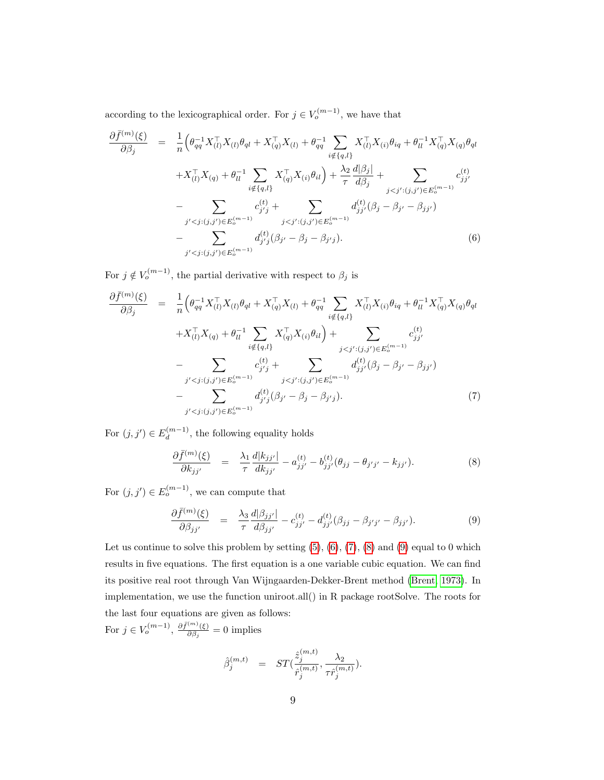according to the lexicographical order. For  $j \in V_o^{(m-1)}$ , we have that

<span id="page-8-0"></span>
$$
\frac{\partial \bar{f}^{(m)}(\xi)}{\partial \beta_{j}} = \frac{1}{n} \Big( \theta_{qq}^{-1} X_{(l)}^{\top} X_{(l)} \theta_{ql} + X_{(q)}^{\top} X_{(l)} + \theta_{qq}^{-1} \sum_{i \notin \{q,l\}} X_{(l)}^{\top} X_{(i)} \theta_{iq} + \theta_{ll}^{-1} X_{(q)}^{\top} X_{(q)} \theta_{ql} \n+ X_{(l)}^{\top} X_{(q)} + \theta_{ll}^{-1} \sum_{i \notin \{q,l\}} X_{(q)}^{\top} X_{(i)} \theta_{il} + \frac{\lambda_{2}}{\tau} \frac{d|\beta_{j}|}{d\beta_{j}} + \sum_{j < j':(j,j') \in E_{o}^{(m-1)}} c_{jj'}^{(t)} \n- \sum_{j' < j:(j,j') \in E_{o}^{(m-1)}} c_{j'j}^{(t)} + \sum_{j < j':(j,j') \in E_{o}^{(m-1)}} d_{jj'}^{(t)} (\beta_{j} - \beta_{j'} - \beta_{jj'}) \n- \sum_{j' < j:(j,j') \in E_{o}^{(m-1)}} d_{j'j}^{(t)} (\beta_{j'} - \beta_{j} - \beta_{j'j}).
$$
\n(6)

For  $j \notin V_o^{(m-1)}$ , the partial derivative with respect to  $\beta_j$  is

<span id="page-8-1"></span>
$$
\frac{\partial \bar{f}^{(m)}(\xi)}{\partial \beta_j} = \frac{1}{n} \Big( \theta_{qq}^{-1} X_{(l)}^{\top} X_{(l)} \theta_{ql} + X_{(q)}^{\top} X_{(l)} + \theta_{qq}^{-1} \sum_{i \notin \{q,l\}} X_{(l)}^{\top} X_{(i)} \theta_{iq} + \theta_{ll}^{-1} X_{(q)}^{\top} X_{(q)} \theta_{ql} \n+ X_{(l)}^{\top} X_{(q)} + \theta_{ll}^{-1} \sum_{i \notin \{q,l\}} X_{(q)}^{\top} X_{(i)} \theta_{il} + \sum_{j < j': (j,j') \in E_{o}^{(m-1)}} c_{jj'}^{(t)} \n- \sum_{j' < j:(j,j') \in E_{o}^{(m-1)}} c_{j'j'}^{(t)} + \sum_{j < j': (j,j') \in E_{o}^{(m-1)}} d_{jj'}^{(t)} (\beta_j - \beta_{j'} - \beta_{jj'}) \n- \sum_{j' < j:(j,j') \in E_{o}^{(m-1)}} d_{j'j}^{(t)} (\beta_{j'} - \beta_j - \beta_{j'j}). \tag{7}
$$

For  $(j, j') \in E_d^{(m-1)}$  $\binom{m-1}{d}$ , the following equality holds

<span id="page-8-2"></span>
$$
\frac{\partial \bar{f}^{(m)}(\xi)}{\partial k_{jj'}} = \frac{\lambda_1}{\tau} \frac{d|k_{jj'}|}{dk_{jj'}} - a_{jj'}^{(t)} - b_{jj'}^{(t)}(\theta_{jj} - \theta_{j'j'} - k_{jj'}).
$$
\n(8)

For  $(j, j') \in E_o^{(m-1)}$ , we can compute that

<span id="page-8-3"></span>
$$
\frac{\partial \bar{f}^{(m)}(\xi)}{\partial \beta_{jj'}} = \frac{\lambda_3}{\tau} \frac{d|\beta_{jj'}|}{d\beta_{jj'}} - c_{jj'}^{(t)} - d_{jj'}^{(t)}(\beta_{jj} - \beta_{j'j'} - \beta_{jj'}).
$$
(9)

Let us continue to solve this problem by setting  $(5)$ ,  $(6)$ ,  $(7)$ ,  $(8)$  and  $(9)$  equal to 0 which results in five equations. The first equation is a one variable cubic equation. We can find its positive real root through Van Wijngaarden-Dekker-Brent method [\(Brent, 1973\)](#page-17-5). In implementation, we use the function uniroot.all() in R package rootSolve. The roots for the last four equations are given as follows: For  $j \in V_o^{(m-1)}$ ,  $\frac{\partial \bar{f}^{(m)}(\xi)}{\partial \beta}$  $\frac{\partial \Theta(\xi)}{\partial \beta_j} = 0$  implies

> $\hat{\beta}_j^{(m,t)}$  =  $ST($  $\hat{z}_j^{(m,t)}$  $\hat{r}^{(m,t)}_j$  $, -\frac{\lambda_2}{\sqrt{2\pi}}$  $\tau \hat r_j^{(m,t)}$ ).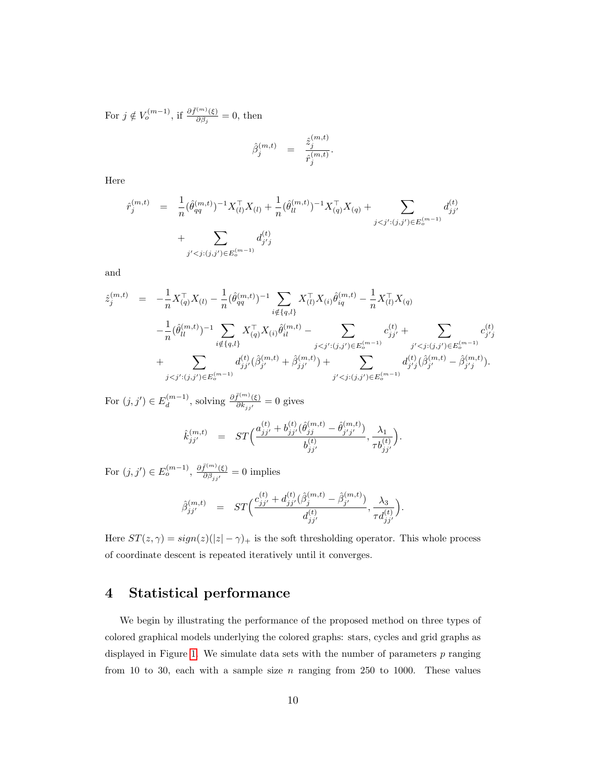For  $j \notin V_o^{(m-1)}$ , if  $\frac{\partial \bar{f}^{(m)}(\xi)}{\partial \beta_i}$  $\frac{\partial \Theta_{\beta}}{\partial \beta_j} = 0$ , then

$$
\hat{\beta}_j^{(m,t)} = \frac{\hat{z}_j^{(m,t)}}{\hat{r}_j^{(m,t)}}.
$$

Here

$$
\hat{r}_j^{(m,t)} = \frac{1}{n} (\hat{\theta}_{qq}^{(m,t)})^{-1} X_{(l)}^\top X_{(l)} + \frac{1}{n} (\hat{\theta}_{ll}^{(m,t)})^{-1} X_{(q)}^\top X_{(q)} + \sum_{j < j': (j,j') \in E_o^{(m-1)}} d_{jj'}^{(t)} \\
+ \sum_{j' < j: (j,j') \in E_o^{(m-1)}} d_{j'j}^{(t)}
$$

and

$$
\begin{array}{lll} \hat{z}_{j}^{(m,t)} & = & -\frac{1}{n} X_{(q)}^{\top} X_{(l)} - \frac{1}{n} (\hat{\theta}_{qq}^{(m,t)})^{-1} \sum_{i \notin \{q,l\}} X_{(l)}^{\top} X_{(i)} \hat{\theta}_{iq}^{(m,t)} - \frac{1}{n} X_{(l)}^{\top} X_{(q)} \\ & & -\frac{1}{n} (\hat{\theta}_{ll}^{(m,t)})^{-1} \sum_{i \notin \{q,l\}} X_{(q)}^{\top} X_{(i)} \hat{\theta}_{il}^{(m,t)} - \sum_{j < j':(j,j') \in E_{o}^{(m-1)}} c_{jj'}^{(t)} + \sum_{j' < j:(j,j') \in E_{o}^{(m-1)}} c_{j'j}^{(t)} \\ & & + \sum_{j < j':(j,j') \in E_{o}^{(m-1)}} d_{jj'}^{(t)} (\hat{\beta}_{j'}^{(m,t)} + \hat{\beta}_{jj'}^{(m,t)}) + \sum_{j' < j:(j,j') \in E_{o}^{(m-1)}} d_{j'j}^{(t)} (\hat{\beta}_{j'}^{(m,t)} - \hat{\beta}_{j'j}^{(m,t)}). \end{array}
$$

For  $(j, j') \in E_d^{(m-1)}$  $\frac{d^{(m-1)}}{dt}$ , solving  $\frac{\partial \bar{f}^{(m)}(\xi)}{\partial k_{jj'}} = 0$  gives

$$
\hat{k}_{jj'}^{(m,t)} = ST\Big(\frac{a_{jj'}^{(t)} + b_{jj'}^{(t)}(\hat{\theta}_{jj}^{(m,t)} - \hat{\theta}_{j'j'}^{(m,t)})}{b_{jj'}^{(t)}}, \frac{\lambda_1}{\tau b_{jj'}^{(t)}}\Big).
$$

For  $(j, j') \in E_o^{(m-1)}$ ,  $\frac{\partial \bar{f}^{(m)}(\xi)}{\partial \beta_{jj'}} = 0$  implies

$$
\hat{\beta}_{jj'}^{(m,t)} = ST\Big(\frac{c_{jj'}^{(t)} + d_{jj'}^{(t)}(\hat{\beta}_j^{(m,t)} - \hat{\beta}_{j'}^{(m,t)})}{d_{jj'}^{(t)}}, \frac{\lambda_3}{\tau d_{jj'}^{(t)}}\Big).
$$

Here  $ST(z, \gamma) = sign(z)(|z| - \gamma)$  is the soft thresholding operator. This whole process of coordinate descent is repeated iteratively until it converges.

# 4 Statistical performance

We begin by illustrating the performance of the proposed method on three types of colored graphical models underlying the colored graphs: stars, cycles and grid graphs as displayed in Figure [1.](#page-10-0) We simulate data sets with the number of parameters  $p$  ranging from 10 to 30, each with a sample size  $n$  ranging from 250 to 1000. These values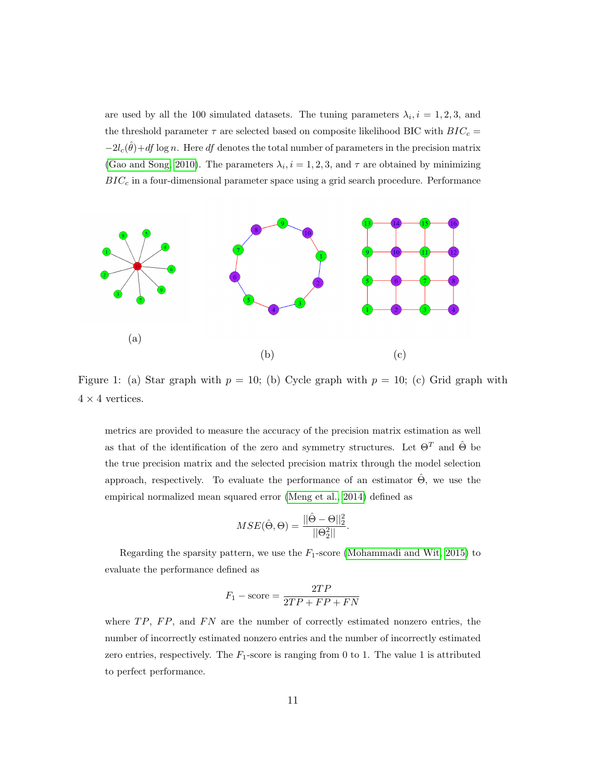are used by all the 100 simulated datasets. The tuning parameters  $\lambda_i$ ,  $i = 1, 2, 3$ , and the threshold parameter  $\tau$  are selected based on composite likelihood BIC with  $BIC_c =$  $-2l_c(\hat{\theta})+df \log n$ . Here df denotes the total number of parameters in the precision matrix [\(Gao and Song, 2010\)](#page-18-7). The parameters  $\lambda_i$ ,  $i = 1, 2, 3$ , and  $\tau$  are obtained by minimizing  $BIC_c$  in a four-dimensional parameter space using a grid search procedure. Performance

<span id="page-10-0"></span>

Figure 1: (a) Star graph with  $p = 10$ ; (b) Cycle graph with  $p = 10$ ; (c) Grid graph with  $4 \times 4$  vertices.

metrics are provided to measure the accuracy of the precision matrix estimation as well as that of the identification of the zero and symmetry structures. Let  $\Theta^T$  and  $\hat{\Theta}$  be the true precision matrix and the selected precision matrix through the model selection approach, respectively. To evaluate the performance of an estimator  $\hat{\Theta}$ , we use the empirical normalized mean squared error [\(Meng et al., 2014\)](#page-18-8) defined as

$$
MSE(\hat{\Theta}, \Theta) = \frac{||\hat{\Theta} - \Theta||_2^2}{||\Theta_2^2||}.
$$

Regarding the sparsity pattern, we use the  $F_1$ -score [\(Mohammadi and Wit, 2015\)](#page-18-9) to evaluate the performance defined as

$$
F_1 - \text{score} = \frac{2TP}{2TP + FP + FN}
$$

where  $TP$ ,  $FP$ , and  $FN$  are the number of correctly estimated nonzero entries, the number of incorrectly estimated nonzero entries and the number of incorrectly estimated zero entries, respectively. The  $F_1$ -score is ranging from 0 to 1. The value 1 is attributed to perfect performance.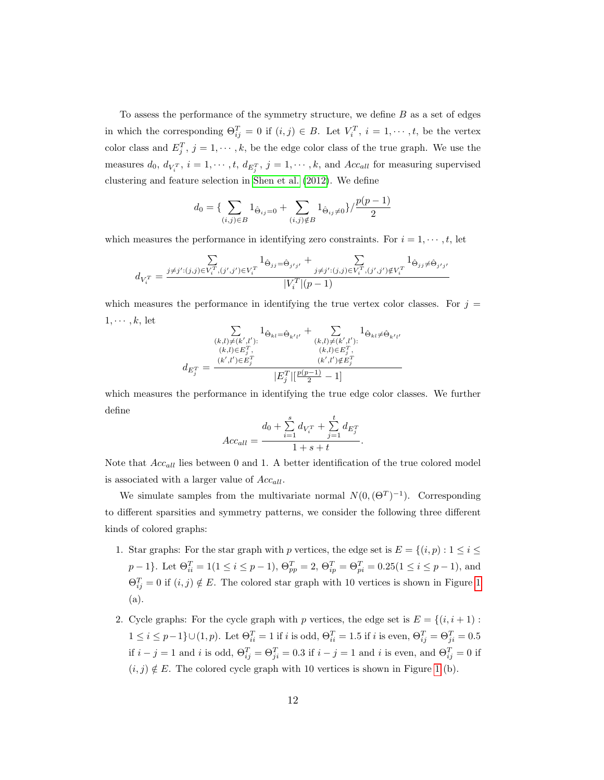To assess the performance of the symmetry structure, we define B as a set of edges in which the corresponding  $\Theta_{ij}^T = 0$  if  $(i, j) \in B$ . Let  $V_i^T$ ,  $i = 1, \dots, t$ , be the vertex color class and  $E_j^T$ ,  $j = 1, \dots, k$ , be the edge color class of the true graph. We use the measures  $d_0, d_{V_i^T}, i = 1, \cdots, t, d_{E_j^T}, j = 1, \cdots, k$ , and  $Acc_{all}$  for measuring supervised clustering and feature selection in [Shen et al.](#page-19-3) [\(2012\)](#page-19-3). We define

$$
d_0 = \left\{ \sum_{(i,j)\in B} 1_{\hat{\Theta}_{ij}=0} + \sum_{(i,j)\notin B} 1_{\hat{\Theta}_{ij}\neq 0} \right\} / \frac{p(p-1)}{2}
$$

which measures the performance in identifying zero constraints. For  $i = 1, \dots, t$ , let

$$
d_{V_i^T} = \frac{\sum\limits_{j \neq j':(j,j) \in V_i^T, (j',j') \in V_i^T} 1_{\hat{\Theta}_{jj} = \hat{\Theta}_{j'j'}} + \sum\limits_{j \neq j':(j,j) \in V_i^T, (j',j') \notin V_i^T} 1_{\hat{\Theta}_{jj} \neq \hat{\Theta}_{j'j'}}}{|V_i^T|(p-1)}
$$

which measures the performance in identifying the true vertex color classes. For  $j =$  $1, \cdots, k$ , let

$$
d_{E_j^T} = \frac{\sum\limits_{(k,l)\neq (k',l') :} 1_{\hat{\Theta}_{kl} = \hat{\Theta}_{k'l'}} + \sum\limits_{(k,l)\neq (k',l') :} 1_{\hat{\Theta}_{kl} \neq \hat{\Theta}_{k'l'}}}{|k,l| \in E_j^T, \qquad (k,l) \in E_j^T, \qquad (k',l') \notin E_j^T}
$$

$$
d_{E_j^T} = \frac{(k',l') \in E_j^T}{|E_j^T| \left[\frac{p(p-1)}{2} - 1\right]}
$$

which measures the performance in identifying the true edge color classes. We further define

$$
Acc_{all} = \frac{d_0 + \sum_{i=1}^{s} d_{V_i^T} + \sum_{j=1}^{t} d_{E_j^T}}{1 + s + t}.
$$

Note that  $Acc_{all}$  lies between 0 and 1. A better identification of the true colored model is associated with a larger value of  $Acc_{all}$ .

We simulate samples from the multivariate normal  $N(0, (\Theta^T)^{-1})$ . Corresponding to different sparsities and symmetry patterns, we consider the following three different kinds of colored graphs:

- 1. Star graphs: For the star graph with p vertices, the edge set is  $E = \{(i, p) : 1 \le i \le n\}$  $p-1\}$ . Let  $\Theta_{ii}^T = 1(1 \le i \le p-1)$ ,  $\Theta_{pp}^T = 2$ ,  $\Theta_{ip}^T = \Theta_{pi}^T = 0.25(1 \le i \le p-1)$ , and  $\Theta_{ij}^T = 0$  if  $(i, j) \notin E$ . The colored star graph with [1](#page-10-0)0 vertices is shown in Figure 1 (a).
- 2. Cycle graphs: For the cycle graph with p vertices, the edge set is  $E = \{(i, i + 1) :$  $1 \leq i \leq p-1$ } $\cup$ (1, p). Let  $\Theta_{ii}^T = 1$  if i is odd,  $\Theta_{ii}^T = 1.5$  if i is even,  $\Theta_{ij}^T = \Theta_{ji}^T = 0.5$ if  $i - j = 1$  and i is odd,  $\Theta_{ij}^T = \Theta_{ji}^T = 0.3$  if  $i - j = 1$  and i is even, and  $\Theta_{ij}^T = 0$  if  $(i, j) \notin E$ . The colored cycle graph with [1](#page-10-0)0 vertices is shown in Figure 1 (b).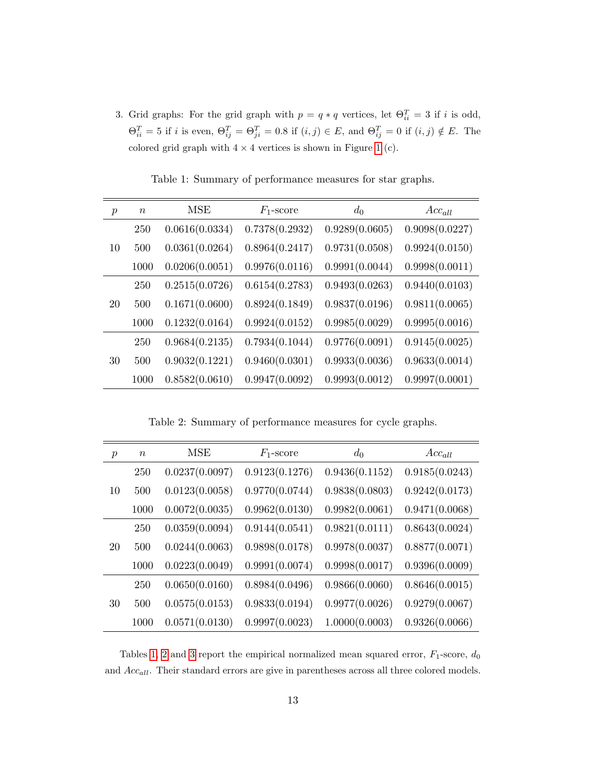3. Grid graphs: For the grid graph with  $p = q * q$  vertices, let  $\Theta_{ii}^T = 3$  if i is odd,  $\Theta_{ii}^T = 5$  if i is even,  $\Theta_{ij}^T = \Theta_{ji}^T = 0.8$  if  $(i, j) \in E$ , and  $\Theta_{ij}^T = 0$  if  $(i, j) \notin E$ . The colored grid graph with  $4 \times 4$  vertices is shown in Figure [1](#page-10-0) (c).

<span id="page-12-0"></span>

| $\boldsymbol{p}$ | $\boldsymbol{n}$ | MSE            | $F_1$ -score   | $d_0$          | $Acc_{all}$    |
|------------------|------------------|----------------|----------------|----------------|----------------|
|                  | 250              | 0.0616(0.0334) | 0.7378(0.2932) | 0.9289(0.0605) | 0.9098(0.0227) |
| 10               | 500              | 0.0361(0.0264) | 0.8964(0.2417) | 0.9731(0.0508) | 0.9924(0.0150) |
|                  | 1000             | 0.0206(0.0051) | 0.9976(0.0116) | 0.9991(0.0044) | 0.9998(0.0011) |
|                  | 250              | 0.2515(0.0726) | 0.6154(0.2783) | 0.9493(0.0263) | 0.9440(0.0103) |
| 20               | 500              | 0.1671(0.0600) | 0.8924(0.1849) | 0.9837(0.0196) | 0.9811(0.0065) |
|                  | 1000             | 0.1232(0.0164) | 0.9924(0.0152) | 0.9985(0.0029) | 0.9995(0.0016) |
|                  | 250              | 0.9684(0.2135) | 0.7934(0.1044) | 0.9776(0.0091) | 0.9145(0.0025) |
| 30               | 500              | 0.9032(0.1221) | 0.9460(0.0301) | 0.9933(0.0036) | 0.9633(0.0014) |
|                  | 1000             | 0.8582(0.0610) | 0.9947(0.0092) | 0.9993(0.0012) | 0.9997(0.0001) |

Table 1: Summary of performance measures for star graphs.

Table 2: Summary of performance measures for cycle graphs.

<span id="page-12-1"></span>

| $\boldsymbol{p}$ | $\,n$ | MSE            | $F_1$ -score   | $d_0$          | $Acc_{all}$    |
|------------------|-------|----------------|----------------|----------------|----------------|
|                  | 250   | 0.0237(0.0097) | 0.9123(0.1276) | 0.9436(0.1152) | 0.9185(0.0243) |
| 10               | 500   | 0.0123(0.0058) | 0.9770(0.0744) | 0.9838(0.0803) | 0.9242(0.0173) |
|                  | 1000  | 0.0072(0.0035) | 0.9962(0.0130) | 0.9982(0.0061) | 0.9471(0.0068) |
| 20               | 250   | 0.0359(0.0094) | 0.9144(0.0541) | 0.9821(0.0111) | 0.8643(0.0024) |
|                  | 500   | 0.0244(0.0063) | 0.9898(0.0178) | 0.9978(0.0037) | 0.8877(0.0071) |
|                  | 1000  | 0.0223(0.0049) | 0.9991(0.0074) | 0.9998(0.0017) | 0.9396(0.0009) |
|                  | 250   | 0.0650(0.0160) | 0.8984(0.0496) | 0.9866(0.0060) | 0.8646(0.0015) |
| 30               | 500   | 0.0575(0.0153) | 0.9833(0.0194) | 0.9977(0.0026) | 0.9279(0.0067) |
|                  | 1000  | 0.0571(0.0130) | 0.9997(0.0023) | 1.0000(0.0003) | 0.9326(0.0066) |

Tables [1,](#page-12-0) [2](#page-12-1) and [3](#page-13-0) report the empirical normalized mean squared error,  $F_1$ -score,  $d_0$ and  $Acc_{all}$ . Their standard errors are give in parentheses across all three colored models.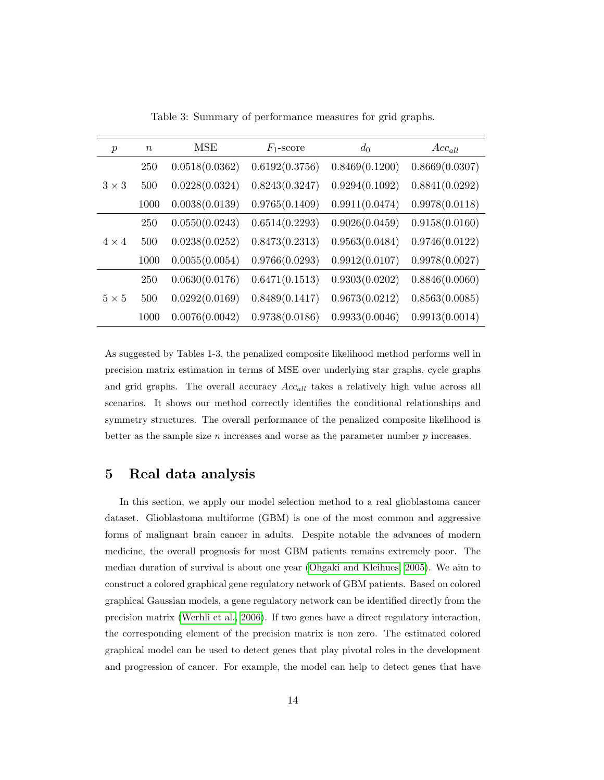<span id="page-13-0"></span>

| $\boldsymbol{p}$ | $\boldsymbol{n}$ | <b>MSE</b>     | $F_1$ -score   | $d_0$          | $Acc_{all}$    |
|------------------|------------------|----------------|----------------|----------------|----------------|
|                  | 250              | 0.0518(0.0362) | 0.6192(0.3756) | 0.8469(0.1200) | 0.8669(0.0307) |
| $3 \times 3$     | 500              | 0.0228(0.0324) | 0.8243(0.3247) | 0.9294(0.1092) | 0.8841(0.0292) |
|                  | 1000             | 0.0038(0.0139) | 0.9765(0.1409) | 0.9911(0.0474) | 0.9978(0.0118) |
|                  | 250              | 0.0550(0.0243) | 0.6514(0.2293) | 0.9026(0.0459) | 0.9158(0.0160) |
| $4 \times 4$     | 500              | 0.0238(0.0252) | 0.8473(0.2313) | 0.9563(0.0484) | 0.9746(0.0122) |
|                  | 1000             | 0.0055(0.0054) | 0.9766(0.0293) | 0.9912(0.0107) | 0.9978(0.0027) |
|                  | 250              | 0.0630(0.0176) | 0.6471(0.1513) | 0.9303(0.0202) | 0.8846(0.0060) |
| $5 \times 5$     | 500              | 0.0292(0.0169) | 0.8489(0.1417) | 0.9673(0.0212) | 0.8563(0.0085) |
|                  | 1000             | 0.0076(0.0042) | 0.9738(0.0186) | 0.9933(0.0046) | 0.9913(0.0014) |

Table 3: Summary of performance measures for grid graphs.

As suggested by Tables 1-3, the penalized composite likelihood method performs well in precision matrix estimation in terms of MSE over underlying star graphs, cycle graphs and grid graphs. The overall accuracy  $Acc_{all}$  takes a relatively high value across all scenarios. It shows our method correctly identifies the conditional relationships and symmetry structures. The overall performance of the penalized composite likelihood is better as the sample size  $n$  increases and worse as the parameter number  $p$  increases.

## 5 Real data analysis

In this section, we apply our model selection method to a real glioblastoma cancer dataset. Glioblastoma multiforme (GBM) is one of the most common and aggressive forms of malignant brain cancer in adults. Despite notable the advances of modern medicine, the overall prognosis for most GBM patients remains extremely poor. The median duration of survival is about one year [\(Ohgaki and Kleihues, 2005\)](#page-19-5). We aim to construct a colored graphical gene regulatory network of GBM patients. Based on colored graphical Gaussian models, a gene regulatory network can be identified directly from the precision matrix [\(Werhli et al., 2006\)](#page-19-6). If two genes have a direct regulatory interaction, the corresponding element of the precision matrix is non zero. The estimated colored graphical model can be used to detect genes that play pivotal roles in the development and progression of cancer. For example, the model can help to detect genes that have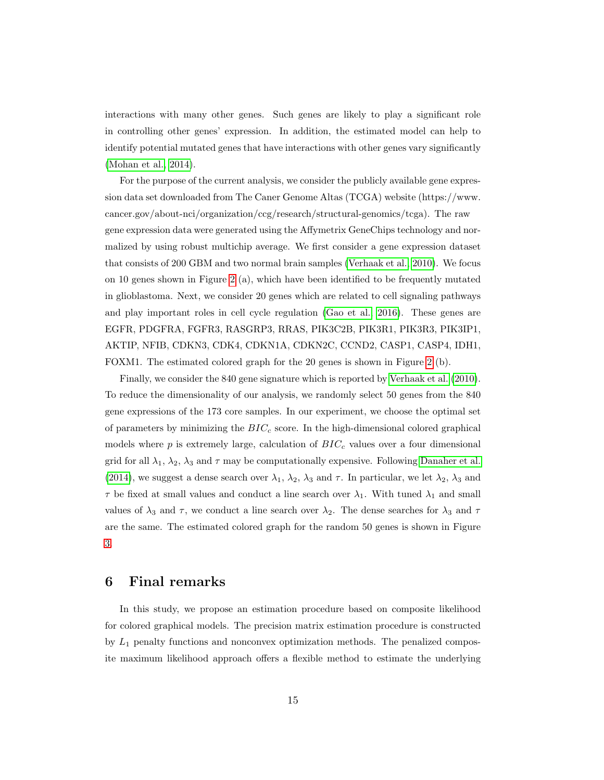interactions with many other genes. Such genes are likely to play a significant role in controlling other genes' expression. In addition, the estimated model can help to identify potential mutated genes that have interactions with other genes vary significantly [\(Mohan et al., 2014\)](#page-18-10).

For the purpose of the current analysis, we consider the publicly available gene expression data set downloaded from The Caner Genome Altas (TCGA) website (https://www. cancer.gov/about-nci/organization/ccg/research/structural-genomics/tcga). The raw gene expression data were generated using the Affymetrix GeneChips technology and normalized by using robust multichip average. We first consider a gene expression dataset that consists of 200 GBM and two normal brain samples [\(Verhaak et al., 2010\)](#page-19-7). We focus on 10 genes shown in Figure [2](#page-15-0) (a), which have been identified to be frequently mutated in glioblastoma. Next, we consider 20 genes which are related to cell signaling pathways and play important roles in cell cycle regulation [\(Gao et al., 2016\)](#page-18-11). These genes are EGFR, PDGFRA, FGFR3, RASGRP3, RRAS, PIK3C2B, PIK3R1, PIK3R3, PIK3IP1, AKTIP, NFIB, CDKN3, CDK4, CDKN1A, CDKN2C, CCND2, CASP1, CASP4, IDH1, FOXM1. The estimated colored graph for the 20 genes is shown in Figure [2](#page-15-0) (b).

Finally, we consider the 840 gene signature which is reported by [Verhaak et al.](#page-19-7) [\(2010\)](#page-19-7). To reduce the dimensionality of our analysis, we randomly select 50 genes from the 840 gene expressions of the 173 core samples. In our experiment, we choose the optimal set of parameters by minimizing the  $BIC<sub>c</sub>$  score. In the high-dimensional colored graphical models where  $p$  is extremely large, calculation of  $BIC_c$  values over a four dimensional grid for all  $\lambda_1$ ,  $\lambda_2$ ,  $\lambda_3$  and  $\tau$  may be computationally expensive. Following [Danaher et al.](#page-17-6) [\(2014\)](#page-17-6), we suggest a dense search over  $\lambda_1$ ,  $\lambda_2$ ,  $\lambda_3$  and  $\tau$ . In particular, we let  $\lambda_2$ ,  $\lambda_3$  and  $\tau$  be fixed at small values and conduct a line search over  $\lambda_1$ . With tuned  $\lambda_1$  and small values of  $\lambda_3$  and  $\tau$ , we conduct a line search over  $\lambda_2$ . The dense searches for  $\lambda_3$  and  $\tau$ are the same. The estimated colored graph for the random 50 genes is shown in Figure [3.](#page-16-0)

## 6 Final remarks

In this study, we propose an estimation procedure based on composite likelihood for colored graphical models. The precision matrix estimation procedure is constructed by  $L_1$  penalty functions and nonconvex optimization methods. The penalized composite maximum likelihood approach offers a flexible method to estimate the underlying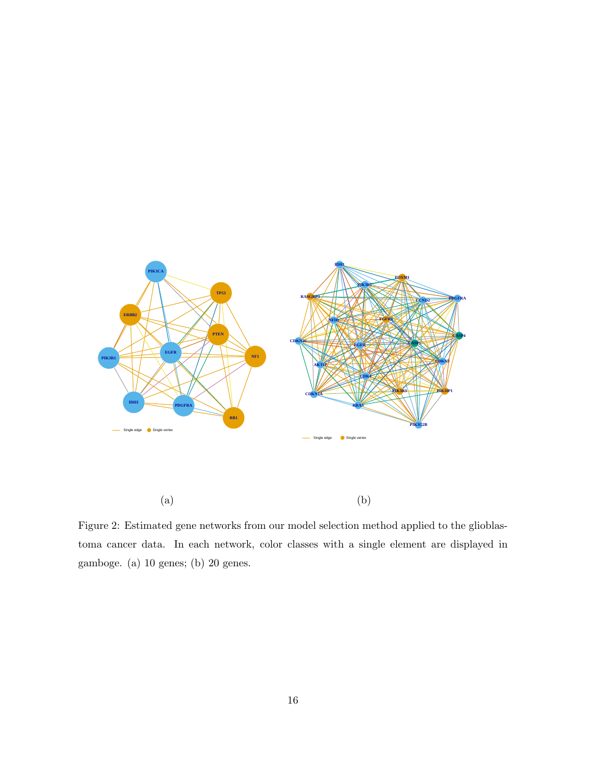<span id="page-15-0"></span>

Figure 2: Estimated gene networks from our model selection method applied to the glioblastoma cancer data. In each network, color classes with a single element are displayed in gamboge. (a) 10 genes; (b) 20 genes.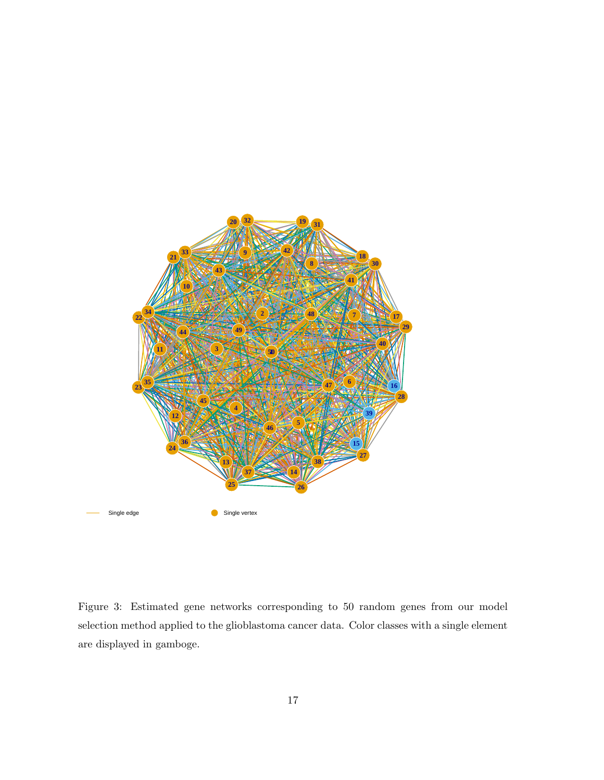<span id="page-16-0"></span>

Figure 3: Estimated gene networks corresponding to 50 random genes from our model selection method applied to the glioblastoma cancer data. Color classes with a single element are displayed in gamboge.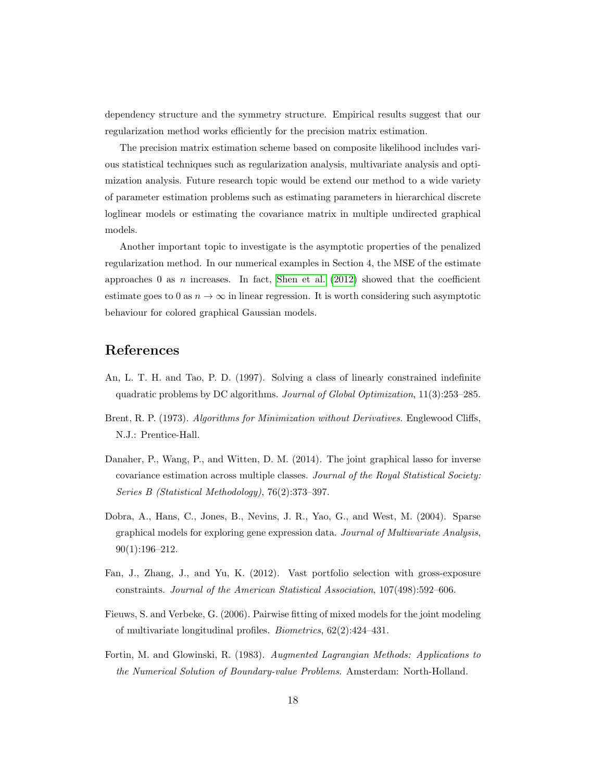dependency structure and the symmetry structure. Empirical results suggest that our regularization method works efficiently for the precision matrix estimation.

The precision matrix estimation scheme based on composite likelihood includes various statistical techniques such as regularization analysis, multivariate analysis and optimization analysis. Future research topic would be extend our method to a wide variety of parameter estimation problems such as estimating parameters in hierarchical discrete loglinear models or estimating the covariance matrix in multiple undirected graphical models.

Another important topic to investigate is the asymptotic properties of the penalized regularization method. In our numerical examples in Section 4, the MSE of the estimate approaches 0 as n increases. In fact, [Shen et al.](#page-19-3)  $(2012)$  showed that the coefficient estimate goes to 0 as  $n \to \infty$  in linear regression. It is worth considering such asymptotic behaviour for colored graphical Gaussian models.

# References

- <span id="page-17-3"></span>An, L. T. H. and Tao, P. D. (1997). Solving a class of linearly constrained indefinite quadratic problems by DC algorithms. Journal of Global Optimization, 11(3):253–285.
- <span id="page-17-5"></span>Brent, R. P. (1973). Algorithms for Minimization without Derivatives. Englewood Cliffs, N.J.: Prentice-Hall.
- <span id="page-17-6"></span>Danaher, P., Wang, P., and Witten, D. M. (2014). The joint graphical lasso for inverse covariance estimation across multiple classes. Journal of the Royal Statistical Society: Series B (Statistical Methodology), 76(2):373–397.
- <span id="page-17-0"></span>Dobra, A., Hans, C., Jones, B., Nevins, J. R., Yao, G., and West, M. (2004). Sparse graphical models for exploring gene expression data. Journal of Multivariate Analysis, 90(1):196–212.
- <span id="page-17-1"></span>Fan, J., Zhang, J., and Yu, K. (2012). Vast portfolio selection with gross-exposure constraints. Journal of the American Statistical Association, 107(498):592–606.
- <span id="page-17-2"></span>Fieuws, S. and Verbeke, G. (2006). Pairwise fitting of mixed models for the joint modeling of multivariate longitudinal profiles. Biometrics, 62(2):424–431.
- <span id="page-17-4"></span>Fortin, M. and Glowinski, R. (1983). Augmented Lagrangian Methods: Applications to the Numerical Solution of Boundary-value Problems. Amsterdam: North-Holland.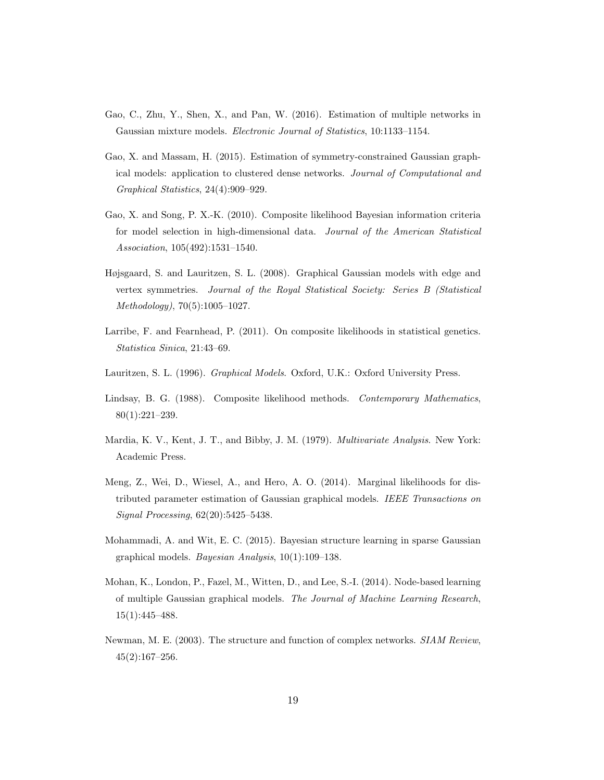- <span id="page-18-11"></span>Gao, C., Zhu, Y., Shen, X., and Pan, W. (2016). Estimation of multiple networks in Gaussian mixture models. Electronic Journal of Statistics, 10:1133–1154.
- <span id="page-18-6"></span>Gao, X. and Massam, H. (2015). Estimation of symmetry-constrained Gaussian graphical models: application to clustered dense networks. Journal of Computational and Graphical Statistics, 24(4):909–929.
- <span id="page-18-7"></span>Gao, X. and Song, P. X.-K. (2010). Composite likelihood Bayesian information criteria for model selection in high-dimensional data. Journal of the American Statistical Association, 105(492):1531–1540.
- <span id="page-18-2"></span>Højsgaard, S. and Lauritzen, S. L. (2008). Graphical Gaussian models with edge and vertex symmetries. Journal of the Royal Statistical Society: Series B (Statistical Methodology), 70(5):1005–1027.
- <span id="page-18-3"></span>Larribe, F. and Fearnhead, P. (2011). On composite likelihoods in statistical genetics. Statistica Sinica, 21:43–69.
- <span id="page-18-0"></span>Lauritzen, S. L. (1996). Graphical Models. Oxford, U.K.: Oxford University Press.
- <span id="page-18-4"></span>Lindsay, B. G. (1988). Composite likelihood methods. Contemporary Mathematics, 80(1):221–239.
- <span id="page-18-5"></span>Mardia, K. V., Kent, J. T., and Bibby, J. M. (1979). *Multivariate Analysis*. New York: Academic Press.
- <span id="page-18-8"></span>Meng, Z., Wei, D., Wiesel, A., and Hero, A. O. (2014). Marginal likelihoods for distributed parameter estimation of Gaussian graphical models. IEEE Transactions on Signal Processing, 62(20):5425–5438.
- <span id="page-18-9"></span>Mohammadi, A. and Wit, E. C. (2015). Bayesian structure learning in sparse Gaussian graphical models. Bayesian Analysis, 10(1):109–138.
- <span id="page-18-10"></span>Mohan, K., London, P., Fazel, M., Witten, D., and Lee, S.-I. (2014). Node-based learning of multiple Gaussian graphical models. The Journal of Machine Learning Research, 15(1):445–488.
- <span id="page-18-1"></span>Newman, M. E. (2003). The structure and function of complex networks. SIAM Review, 45(2):167–256.